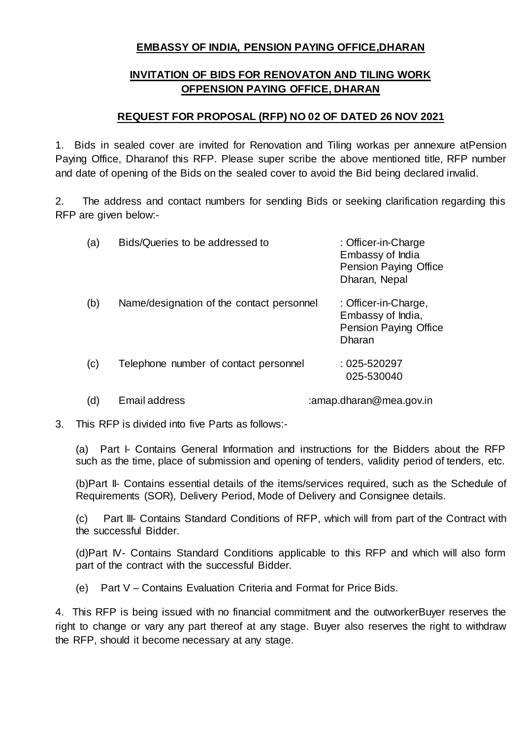## **EMBASSY OF INDIA, PENSION PAYING OFFICE,DHARAN**

## **INVITATION OF BIDS FOR RENOVATON AND TILING WORK OFPENSION PAYING OFFICE, DHARAN**

#### **REQUEST FOR PROPOSAL (RFP) NO 02 OF DATED 26 NOV 2021**

1. Bids in sealed cover are invited for Renovation and Tiling workas per annexure atPension Paying Office, Dharanof this RFP. Please super scribe the above mentioned title, RFP number and date of opening of the Bids on the sealed cover to avoid the Bid being declared invalid.

2. The address and contact numbers for sending Bids or seeking clarification regarding this RFP are given below:-

| (a) | Bids/Queries to be addressed to           | : Officer-in-Charge<br>Embassy of India<br><b>Pension Paying Office</b><br>Dharan, Nepal   |
|-----|-------------------------------------------|--------------------------------------------------------------------------------------------|
| (b) | Name/designation of the contact personnel | : Officer-in-Charge,<br>Embassy of India,<br><b>Pension Paying Office</b><br><b>Dharan</b> |
| (c) | Telephone number of contact personnel     | $:025 - 520297$<br>025-530040                                                              |
|     |                                           |                                                                                            |

(d) Email address : amap.dharan@mea.gov.in

3. This RFP is divided into five Parts as follows:-

(a) Part I- Contains General Information and instructions for the Bidders about the RFP such as the time, place of submission and opening of tenders, validity period of tenders, etc.

(b)Part II- Contains essential details of the items/services required, such as the Schedule of Requirements (SOR), Delivery Period, Mode of Delivery and Consignee details.

(c) Part III- Contains Standard Conditions of RFP, which will from part of the Contract with the successful Bidder.

(d)Part IV- Contains Standard Conditions applicable to this RFP and which will also form part of the contract with the successful Bidder.

(e) Part V – Contains Evaluation Criteria and Format for Price Bids.

4. This RFP is being issued with no financial commitment and the outworkerBuyer reserves the right to change or vary any part thereof at any stage. Buyer also reserves the right to withdraw the RFP, should it become necessary at any stage.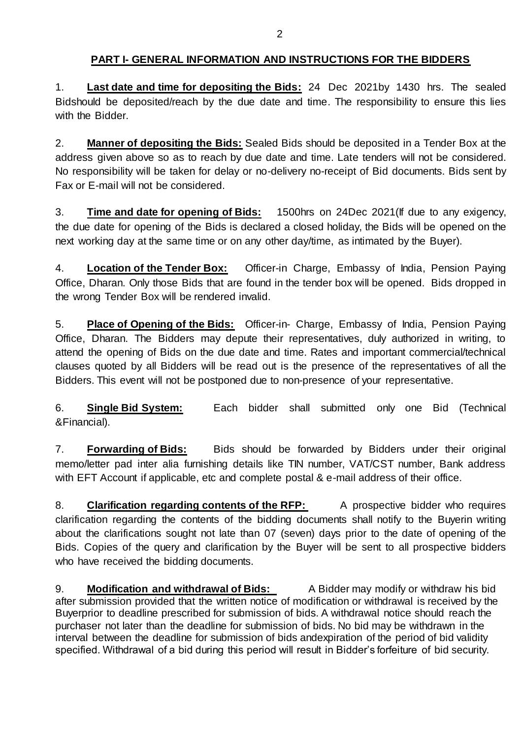# **PART I- GENERAL INFORMATION AND INSTRUCTIONS FOR THE BIDDERS**

1. **Last date and time for depositing the Bids:** 24 Dec 2021by 1430 hrs. The sealed Bidshould be deposited/reach by the due date and time. The responsibility to ensure this lies with the Bidder.

2. **Manner of depositing the Bids:** Sealed Bids should be deposited in a Tender Box at the address given above so as to reach by due date and time. Late tenders will not be considered. No responsibility will be taken for delay or no-delivery no-receipt of Bid documents. Bids sent by Fax or E-mail will not be considered.

3. **Time and date for opening of Bids:** 1500hrs on 24Dec 2021(If due to any exigency, the due date for opening of the Bids is declared a closed holiday, the Bids will be opened on the next working day at the same time or on any other day/time, as intimated by the Buyer).

4. **Location of the Tender Box:** Officer-in Charge, Embassy of India, Pension Paying Office, Dharan. Only those Bids that are found in the tender box will be opened. Bids dropped in the wrong Tender Box will be rendered invalid.

5. **Place of Opening of the Bids:** Officer-in- Charge, Embassy of India, Pension Paying Office, Dharan. The Bidders may depute their representatives, duly authorized in writing, to attend the opening of Bids on the due date and time. Rates and important commercial/technical clauses quoted by all Bidders will be read out is the presence of the representatives of all the Bidders. This event will not be postponed due to non-presence of your representative.

6. **Single Bid System:** Each bidder shall submitted only one Bid (Technical &Financial).

7. **Forwarding of Bids:** Bids should be forwarded by Bidders under their original memo/letter pad inter alia furnishing details like TIN number, VAT/CST number, Bank address with EFT Account if applicable, etc and complete postal & e-mail address of their office.

8. **Clarification regarding contents of the RFP:** A prospective bidder who requires clarification regarding the contents of the bidding documents shall notify to the Buyerin writing about the clarifications sought not late than 07 (seven) days prior to the date of opening of the Bids. Copies of the query and clarification by the Buyer will be sent to all prospective bidders who have received the bidding documents.

9. **Modification and withdrawal of Bids:** A Bidder may modify or withdraw his bid after submission provided that the written notice of modification or withdrawal is received by the Buyerprior to deadline prescribed for submission of bids. A withdrawal notice should reach the purchaser not later than the deadline for submission of bids. No bid may be withdrawn in the interval between the deadline for submission of bids andexpiration of the period of bid validity specified. Withdrawal of a bid during this period will result in Bidder's forfeiture of bid security.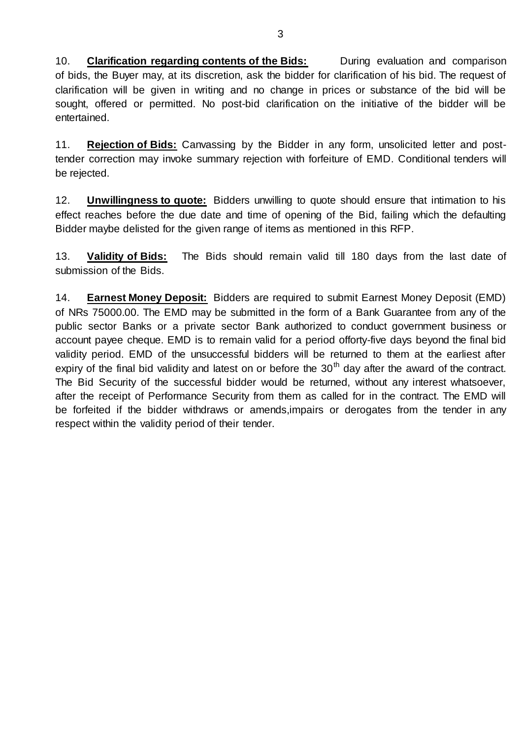10. **Clarification regarding contents of the Bids:** During evaluation and comparison of bids, the Buyer may, at its discretion, ask the bidder for clarification of his bid. The request of clarification will be given in writing and no change in prices or substance of the bid will be sought, offered or permitted. No post-bid clarification on the initiative of the bidder will be entertained.

11. **Rejection of Bids:** Canvassing by the Bidder in any form, unsolicited letter and posttender correction may invoke summary rejection with forfeiture of EMD. Conditional tenders will be rejected.

12. **Unwillingness to quote:** Bidders unwilling to quote should ensure that intimation to his effect reaches before the due date and time of opening of the Bid, failing which the defaulting Bidder maybe delisted for the given range of items as mentioned in this RFP.

13. **Validity of Bids:** The Bids should remain valid till 180 days from the last date of submission of the Bids.

14. **Earnest Money Deposit:** Bidders are required to submit Earnest Money Deposit (EMD) of NRs 75000.00. The EMD may be submitted in the form of a Bank Guarantee from any of the public sector Banks or a private sector Bank authorized to conduct government business or account payee cheque. EMD is to remain valid for a period offorty-five days beyond the final bid validity period. EMD of the unsuccessful bidders will be returned to them at the earliest after expiry of the final bid validity and latest on or before the  $30<sup>th</sup>$  day after the award of the contract. The Bid Security of the successful bidder would be returned, without any interest whatsoever, after the receipt of Performance Security from them as called for in the contract. The EMD will be forfeited if the bidder withdraws or amends,impairs or derogates from the tender in any respect within the validity period of their tender.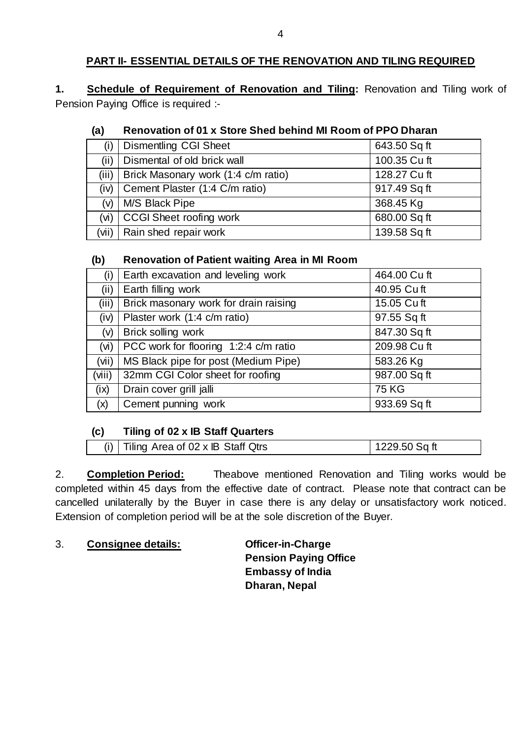# **PART II- ESSENTIAL DETAILS OF THE RENOVATION AND TILING REQUIRED**

**1. Schedule of Requirement of Renovation and Tiling:** Renovation and Tiling work of Pension Paying Office is required :-

## **(a) Renovation of 01 x Store Shed behind MI Room of PPO Dharan**

| (i)               | <b>Dismentling CGI Sheet</b>        | 643.50 Sq ft |
|-------------------|-------------------------------------|--------------|
| (ii)              | Dismental of old brick wall         | 100.35 Cu ft |
| (iii)             | Brick Masonary work (1:4 c/m ratio) | 128.27 Cu ft |
| (iv)              | Cement Plaster (1:4 C/m ratio)      | 917.49 Sq ft |
| (v)               | M/S Black Pipe                      | 368.45 Kg    |
| (v <sub>i</sub> ) | <b>CCGI Sheet roofing work</b>      | 680.00 Sq ft |
|                   | $(vii)$ Rain shed repair work       | 139.58 Sq ft |

## **(b) Renovation of Patient waiting Area in MI Room**

| (i)               | Earth excavation and leveling work    | 464.00 Cu ft |
|-------------------|---------------------------------------|--------------|
| (ii)              | Earth filling work                    | 40.95 Cu ft  |
| (iii)             | Brick masonary work for drain raising | 15.05 Cuft   |
| (iv)              | Plaster work (1:4 c/m ratio)          | 97.55 Sq ft  |
| (v)               | Brick solling work                    | 847.30 Sq ft |
| (v <sub>i</sub> ) | PCC work for flooring 1:2:4 c/m ratio | 209.98 Cu ft |
| (vii)             | MS Black pipe for post (Medium Pipe)  | 583.26 Kg    |
| (viii)            | 32mm CGI Color sheet for roofing      | 987.00 Sq ft |
| (ix)              | Drain cover grill jalli               | <b>75 KG</b> |
| (x)               | Cement punning work                   | 933.69 Sq ft |
|                   |                                       |              |

# **(c) Tiling of 02 x IB Staff Quarters**

| (i) $\vert$ Tiling Area of 02 x IB Staff Qtrs<br>1229.50 Sq ft |
|----------------------------------------------------------------|
|----------------------------------------------------------------|

2. **Completion Period:** Theabove mentioned Renovation and Tiling works would be completed within 45 days from the effective date of contract. Please note that contract can be cancelled unilaterally by the Buyer in case there is any delay or unsatisfactory work noticed. Extension of completion period will be at the sole discretion of the Buyer.

3. **Consignee details: Officer-in-Charge**

**Pension Paying Office Embassy of India Dharan, Nepal**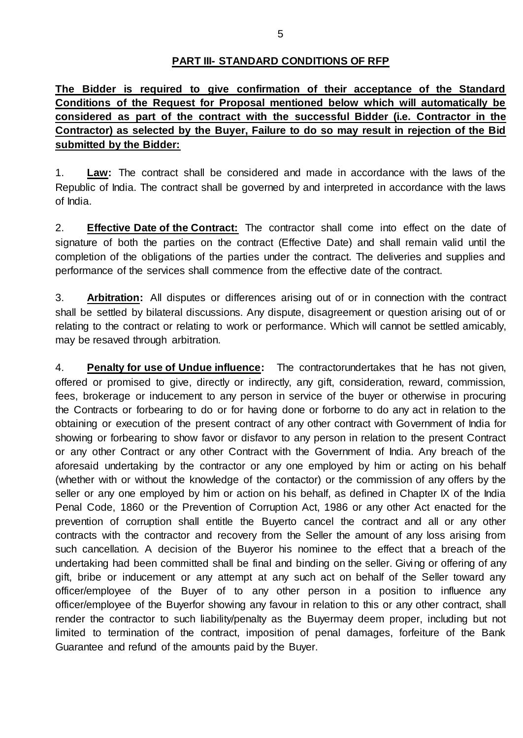### **PART III- STANDARD CONDITIONS OF RFP**

**The Bidder is required to give confirmation of their acceptance of the Standard Conditions of the Request for Proposal mentioned below which will automatically be considered as part of the contract with the successful Bidder (i.e. Contractor in the Contractor) as selected by the Buyer, Failure to do so may result in rejection of the Bid submitted by the Bidder:**

1. **Law:** The contract shall be considered and made in accordance with the laws of the Republic of India. The contract shall be governed by and interpreted in accordance with the laws of India.

2. **Effective Date of the Contract:** The contractor shall come into effect on the date of signature of both the parties on the contract (Effective Date) and shall remain valid until the completion of the obligations of the parties under the contract. The deliveries and supplies and performance of the services shall commence from the effective date of the contract.

3. **Arbitration:** All disputes or differences arising out of or in connection with the contract shall be settled by bilateral discussions. Any dispute, disagreement or question arising out of or relating to the contract or relating to work or performance. Which will cannot be settled amicably, may be resaved through arbitration.

4. **Penalty for use of Undue influence:** The contractorundertakes that he has not given, offered or promised to give, directly or indirectly, any gift, consideration, reward, commission, fees, brokerage or inducement to any person in service of the buyer or otherwise in procuring the Contracts or forbearing to do or for having done or forborne to do any act in relation to the obtaining or execution of the present contract of any other contract with Government of India for showing or forbearing to show favor or disfavor to any person in relation to the present Contract or any other Contract or any other Contract with the Government of India. Any breach of the aforesaid undertaking by the contractor or any one employed by him or acting on his behalf (whether with or without the knowledge of the contactor) or the commission of any offers by the seller or any one employed by him or action on his behalf, as defined in Chapter IX of the India Penal Code, 1860 or the Prevention of Corruption Act, 1986 or any other Act enacted for the prevention of corruption shall entitle the Buyerto cancel the contract and all or any other contracts with the contractor and recovery from the Seller the amount of any loss arising from such cancellation. A decision of the Buyeror his nominee to the effect that a breach of the undertaking had been committed shall be final and binding on the seller. Giving or offering of any gift, bribe or inducement or any attempt at any such act on behalf of the Seller toward any officer/employee of the Buyer of to any other person in a position to influence any officer/employee of the Buyerfor showing any favour in relation to this or any other contract, shall render the contractor to such liability/penalty as the Buyermay deem proper, including but not limited to termination of the contract, imposition of penal damages, forfeiture of the Bank Guarantee and refund of the amounts paid by the Buyer.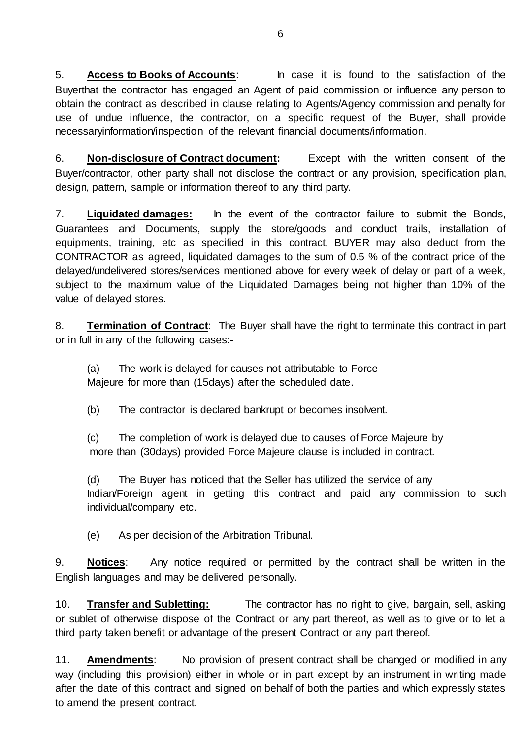5. **Access to Books of Accounts**: In case it is found to the satisfaction of the Buyerthat the contractor has engaged an Agent of paid commission or influence any person to obtain the contract as described in clause relating to Agents/Agency commission and penalty for use of undue influence, the contractor, on a specific request of the Buyer, shall provide necessaryinformation/inspection of the relevant financial documents/information.

6. **Non-disclosure of Contract document:** Except with the written consent of the Buyer/contractor, other party shall not disclose the contract or any provision, specification plan, design, pattern, sample or information thereof to any third party.

7. **Liquidated damages:** In the event of the contractor failure to submit the Bonds, Guarantees and Documents, supply the store/goods and conduct trails, installation of equipments, training, etc as specified in this contract, BUYER may also deduct from the CONTRACTOR as agreed, liquidated damages to the sum of 0.5 % of the contract price of the delayed/undelivered stores/services mentioned above for every week of delay or part of a week, subject to the maximum value of the Liquidated Damages being not higher than 10% of the value of delayed stores.

8. **Termination of Contract**: The Buyer shall have the right to terminate this contract in part or in full in any of the following cases:-

(a) The work is delayed for causes not attributable to Force Majeure for more than (15days) after the scheduled date.

(b) The contractor is declared bankrupt or becomes insolvent.

(c) The completion of work is delayed due to causes of Force Majeure by more than (30days) provided Force Majeure clause is included in contract.

(d) The Buyer has noticed that the Seller has utilized the service of any Indian/Foreign agent in getting this contract and paid any commission to such individual/company etc.

(e) As per decision of the Arbitration Tribunal.

9. **Notices**: Any notice required or permitted by the contract shall be written in the English languages and may be delivered personally.

10. **Transfer and Subletting:** The contractor has no right to give, bargain, sell, asking or sublet of otherwise dispose of the Contract or any part thereof, as well as to give or to let a third party taken benefit or advantage of the present Contract or any part thereof.

11. **Amendments**: No provision of present contract shall be changed or modified in any way (including this provision) either in whole or in part except by an instrument in writing made after the date of this contract and signed on behalf of both the parties and which expressly states to amend the present contract.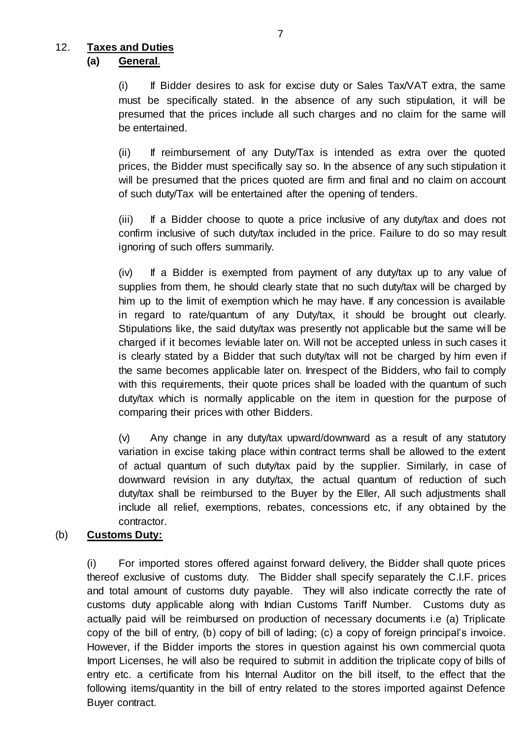# 12. **Taxes and Duties**

#### **(a) General**.

 $(i)$  If Bidder desires to ask for excise duty or Sales Tax/VAT extra, the same must be specifically stated. In the absence of any such stipulation, it will be presumed that the prices include all such charges and no claim for the same will be entertained.

(ii) If reimbursement of any Duty/Tax is intended as extra over the quoted prices, the Bidder must specifically say so. In the absence of any such stipulation it will be presumed that the prices quoted are firm and final and no claim on account of such duty/Tax will be entertained after the opening of tenders.

(iii) If a Bidder choose to quote a price inclusive of any duty/tax and does not confirm inclusive of such duty/tax included in the price. Failure to do so may result ignoring of such offers summarily.

(iv) If a Bidder is exempted from payment of any duty/tax up to any value of supplies from them, he should clearly state that no such duty/tax will be charged by him up to the limit of exemption which he may have. If any concession is available in regard to rate/quantum of any Duty/tax, it should be brought out clearly. Stipulations like, the said duty/tax was presently not applicable but the same will be charged if it becomes leviable later on. Will not be accepted unless in such cases it is clearly stated by a Bidder that such duty/tax will not be charged by him even if the same becomes applicable later on. Inrespect of the Bidders, who fail to comply with this requirements, their quote prices shall be loaded with the quantum of such duty/tax which is normally applicable on the item in question for the purpose of comparing their prices with other Bidders.

(v) Any change in any duty/tax upward/downward as a result of any statutory variation in excise taking place within contract terms shall be allowed to the extent of actual quantum of such duty/tax paid by the supplier. Similarly, in case of downward revision in any duty/tax, the actual quantum of reduction of such duty/tax shall be reimbursed to the Buyer by the Eller, All such adjustments shall include all relief, exemptions, rebates, concessions etc, if any obtained by the contractor.

## (b) **Customs Duty:**

(i) For imported stores offered against forward delivery, the Bidder shall quote prices thereof exclusive of customs duty. The Bidder shall specify separately the C.I.F. prices and total amount of customs duty payable. They will also indicate correctly the rate of customs duty applicable along with Indian Customs Tariff Number. Customs duty as actually paid will be reimbursed on production of necessary documents i.e (a) Triplicate copy of the bill of entry, (b) copy of bill of lading; (c) a copy of foreign principal's invoice. However, if the Bidder imports the stores in question against his own commercial quota Import Licenses, he will also be required to submit in addition the triplicate copy of bills of entry etc. a certificate from his Internal Auditor on the bill itself, to the effect that the following items/quantity in the bill of entry related to the stores imported against Defence Buyer contract.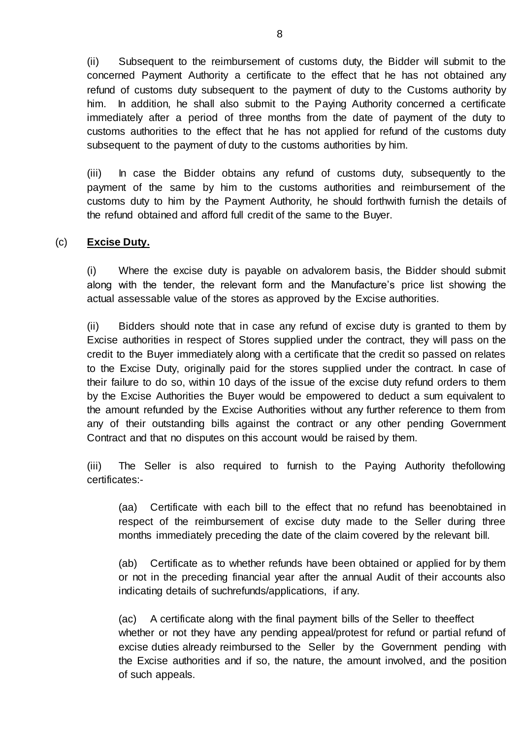(ii) Subsequent to the reimbursement of customs duty, the Bidder will submit to the concerned Payment Authority a certificate to the effect that he has not obtained any refund of customs duty subsequent to the payment of duty to the Customs authority by him. In addition, he shall also submit to the Paying Authority concerned a certificate immediately after a period of three months from the date of payment of the duty to customs authorities to the effect that he has not applied for refund of the customs duty subsequent to the payment of duty to the customs authorities by him.

(iii) In case the Bidder obtains any refund of customs duty, subsequently to the payment of the same by him to the customs authorities and reimbursement of the customs duty to him by the Payment Authority, he should forthwith furnish the details of the refund obtained and afford full credit of the same to the Buyer.

#### (c) **Excise Duty.**

(i) Where the excise duty is payable on advalorem basis, the Bidder should submit along with the tender, the relevant form and the Manufacture's price list showing the actual assessable value of the stores as approved by the Excise authorities.

(ii) Bidders should note that in case any refund of excise duty is granted to them by Excise authorities in respect of Stores supplied under the contract, they will pass on the credit to the Buyer immediately along with a certificate that the credit so passed on relates to the Excise Duty, originally paid for the stores supplied under the contract. In case of their failure to do so, within 10 days of the issue of the excise duty refund orders to them by the Excise Authorities the Buyer would be empowered to deduct a sum equivalent to the amount refunded by the Excise Authorities without any further reference to them from any of their outstanding bills against the contract or any other pending Government Contract and that no disputes on this account would be raised by them.

(iii) The Seller is also required to furnish to the Paying Authority thefollowing certificates:-

(aa) Certificate with each bill to the effect that no refund has beenobtained in respect of the reimbursement of excise duty made to the Seller during three months immediately preceding the date of the claim covered by the relevant bill.

(ab) Certificate as to whether refunds have been obtained or applied for by them or not in the preceding financial year after the annual Audit of their accounts also indicating details of suchrefunds/applications, if any.

(ac) A certificate along with the final payment bills of the Seller to theeffect whether or not they have any pending appeal/protest for refund or partial refund of excise duties already reimbursed to the Seller by the Government pending with the Excise authorities and if so, the nature, the amount involved, and the position of such appeals.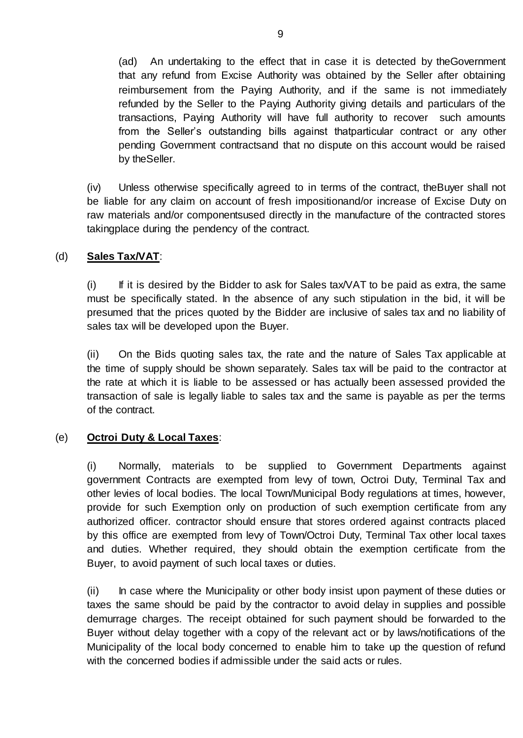(ad) An undertaking to the effect that in case it is detected by theGovernment that any refund from Excise Authority was obtained by the Seller after obtaining reimbursement from the Paying Authority, and if the same is not immediately refunded by the Seller to the Paying Authority giving details and particulars of the transactions, Paying Authority will have full authority to recover such amounts from the Seller's outstanding bills against thatparticular contract or any other pending Government contractsand that no dispute on this account would be raised by theSeller.

(iv) Unless otherwise specifically agreed to in terms of the contract, theBuyer shall not be liable for any claim on account of fresh impositionand/or increase of Excise Duty on raw materials and/or componentsused directly in the manufacture of the contracted stores takingplace during the pendency of the contract.

#### (d) **Sales Tax/VAT**:

 $(i)$  If it is desired by the Bidder to ask for Sales tax/VAT to be paid as extra, the same must be specifically stated. In the absence of any such stipulation in the bid, it will be presumed that the prices quoted by the Bidder are inclusive of sales tax and no liability of sales tax will be developed upon the Buyer.

(ii) On the Bids quoting sales tax, the rate and the nature of Sales Tax applicable at the time of supply should be shown separately. Sales tax will be paid to the contractor at the rate at which it is liable to be assessed or has actually been assessed provided the transaction of sale is legally liable to sales tax and the same is payable as per the terms of the contract.

## (e) **Octroi Duty & Local Taxes**:

(i) Normally, materials to be supplied to Government Departments against government Contracts are exempted from levy of town, Octroi Duty, Terminal Tax and other levies of local bodies. The local Town/Municipal Body regulations at times, however, provide for such Exemption only on production of such exemption certificate from any authorized officer. contractor should ensure that stores ordered against contracts placed by this office are exempted from levy of Town/Octroi Duty, Terminal Tax other local taxes and duties. Whether required, they should obtain the exemption certificate from the Buyer, to avoid payment of such local taxes or duties.

(ii) In case where the Municipality or other body insist upon payment of these duties or taxes the same should be paid by the contractor to avoid delay in supplies and possible demurrage charges. The receipt obtained for such payment should be forwarded to the Buyer without delay together with a copy of the relevant act or by laws/notifications of the Municipality of the local body concerned to enable him to take up the question of refund with the concerned bodies if admissible under the said acts or rules.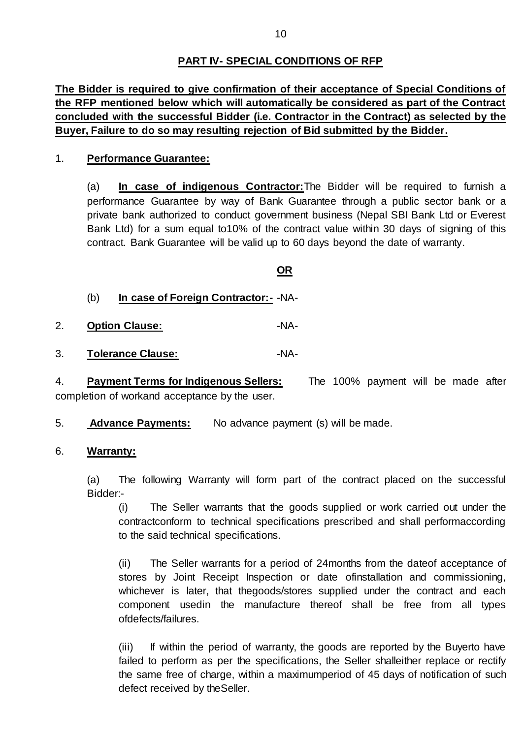## **PART IV- SPECIAL CONDITIONS OF RFP**

**The Bidder is required to give confirmation of their acceptance of Special Conditions of the RFP mentioned below which will automatically be considered as part of the Contract concluded with the successful Bidder (i.e. Contractor in the Contract) as selected by the Buyer, Failure to do so may resulting rejection of Bid submitted by the Bidder.**

#### 1. **Performance Guarantee:**

(a) **In case of indigenous Contractor:**The Bidder will be required to furnish a performance Guarantee by way of Bank Guarantee through a public sector bank or a private bank authorized to conduct government business (Nepal SBI Bank Ltd or Everest Bank Ltd) for a sum equal to10% of the contract value within 30 days of signing of this contract. Bank Guarantee will be valid up to 60 days beyond the date of warranty.

#### **OR**

- (b) **In case of Foreign Contractor:-** -NA-
- 2. **Option Clause:** Philosophysis ANA-
- 3. **Tolerance Clause:** -NA-

4. **Payment Terms for Indigenous Sellers:** The 100% payment will be made after completion of workand acceptance by the user.

5. **Advance Payments:** No advance payment (s) will be made.

#### 6. **Warranty:**

(a) The following Warranty will form part of the contract placed on the successful Bidder:-

(i) The Seller warrants that the goods supplied or work carried out under the contractconform to technical specifications prescribed and shall performaccording to the said technical specifications.

(ii) The Seller warrants for a period of 24months from the dateof acceptance of stores by Joint Receipt Inspection or date ofinstallation and commissioning, whichever is later, that thegoods/stores supplied under the contract and each component usedin the manufacture thereof shall be free from all types ofdefects/failures.

(iii) If within the period of warranty, the goods are reported by the Buyerto have failed to perform as per the specifications, the Seller shalleither replace or rectify the same free of charge, within a maximumperiod of 45 days of notification of such defect received by theSeller.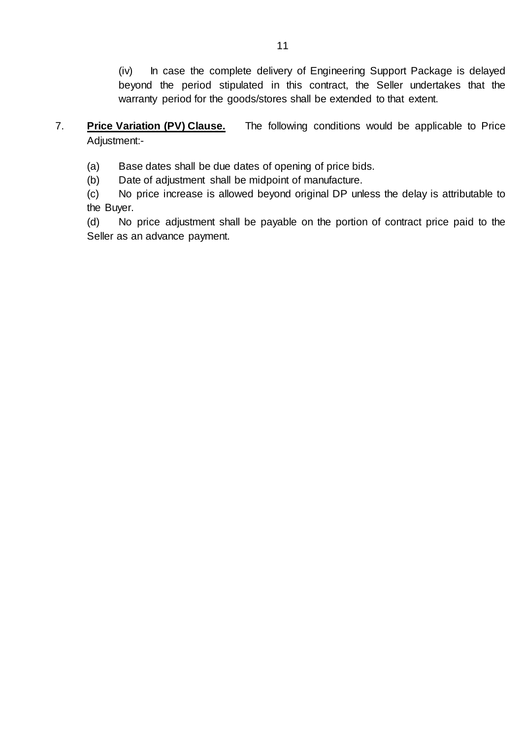(iv) In case the complete delivery of Engineering Support Package is delayed beyond the period stipulated in this contract, the Seller undertakes that the warranty period for the goods/stores shall be extended to that extent.

# 7. **Price Variation (PV) Clause.** The following conditions would be applicable to Price Adjustment:-

- (a) Base dates shall be due dates of opening of price bids.
- (b) Date of adjustment shall be midpoint of manufacture.

(c) No price increase is allowed beyond original DP unless the delay is attributable to the Buyer.

(d) No price adjustment shall be payable on the portion of contract price paid to the Seller as an advance payment.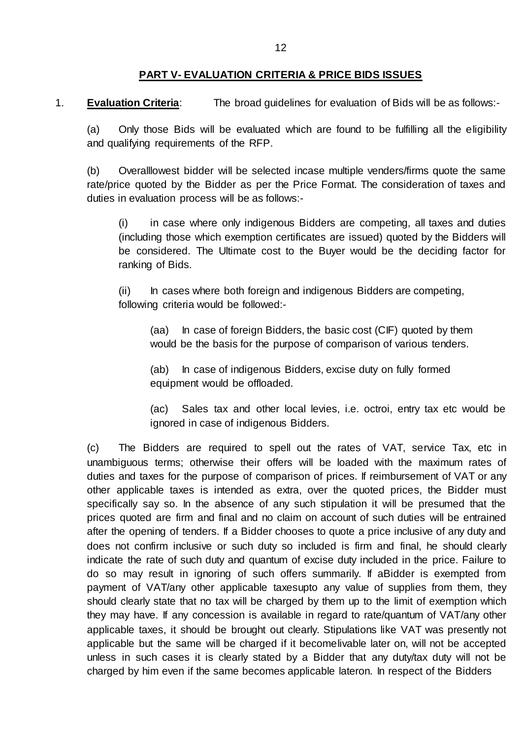### **PART V- EVALUATION CRITERIA & PRICE BIDS ISSUES**

1. **Evaluation Criteria**: The broad guidelines for evaluation of Bids will be as follows:-

(a) Only those Bids will be evaluated which are found to be fulfilling all the eligibility and qualifying requirements of the RFP.

(b) Overalllowest bidder will be selected incase multiple venders/firms quote the same rate/price quoted by the Bidder as per the Price Format. The consideration of taxes and duties in evaluation process will be as follows:-

(i) in case where only indigenous Bidders are competing, all taxes and duties (including those which exemption certificates are issued) quoted by the Bidders will be considered. The Ultimate cost to the Buyer would be the deciding factor for ranking of Bids.

(ii) In cases where both foreign and indigenous Bidders are competing, following criteria would be followed:-

(aa) In case of foreign Bidders, the basic cost (CIF) quoted by them would be the basis for the purpose of comparison of various tenders.

(ab) In case of indigenous Bidders, excise duty on fully formed equipment would be offloaded.

(ac) Sales tax and other local levies, i.e. octroi, entry tax etc would be ignored in case of indigenous Bidders.

(c) The Bidders are required to spell out the rates of VAT, service Tax, etc in unambiguous terms; otherwise their offers will be loaded with the maximum rates of duties and taxes for the purpose of comparison of prices. If reimbursement of VAT or any other applicable taxes is intended as extra, over the quoted prices, the Bidder must specifically say so. In the absence of any such stipulation it will be presumed that the prices quoted are firm and final and no claim on account of such duties will be entrained after the opening of tenders. If a Bidder chooses to quote a price inclusive of any duty and does not confirm inclusive or such duty so included is firm and final, he should clearly indicate the rate of such duty and quantum of excise duty included in the price. Failure to do so may result in ignoring of such offers summarily. If aBidder is exempted from payment of VAT/any other applicable taxesupto any value of supplies from them, they should clearly state that no tax will be charged by them up to the limit of exemption which they may have. If any concession is available in regard to rate/quantum of VAT/any other applicable taxes, it should be brought out clearly. Stipulations like VAT was presently not applicable but the same will be charged if it becomelivable later on, will not be accepted unless in such cases it is clearly stated by a Bidder that any duty/tax duty will not be charged by him even if the same becomes applicable lateron. In respect of the Bidders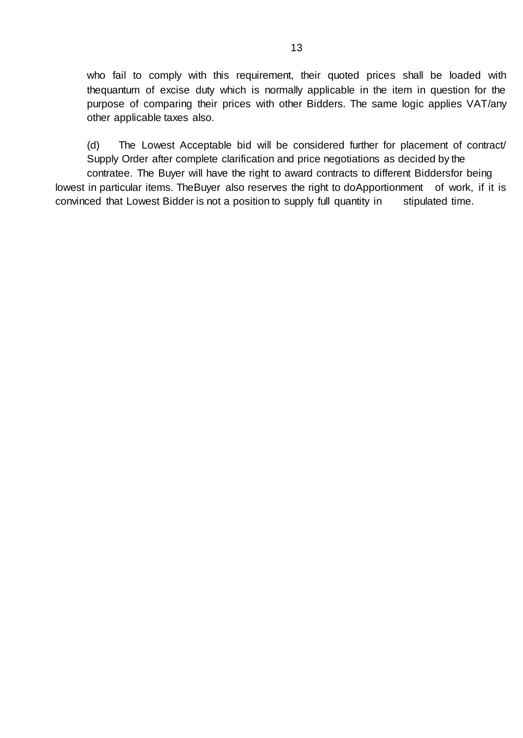who fail to comply with this requirement, their quoted prices shall be loaded with thequantum of excise duty which is normally applicable in the item in question for the purpose of comparing their prices with other Bidders. The same logic applies VAT/any other applicable taxes also.

(d) The Lowest Acceptable bid will be considered further for placement of contract/ Supply Order after complete clarification and price negotiations as decided by the contratee. The Buyer will have the right to award contracts to different Biddersfor being lowest in particular items. TheBuyer also reserves the right to doApportionment of work, if it is convinced that Lowest Bidder is not a position to supply full quantity in stipulated time.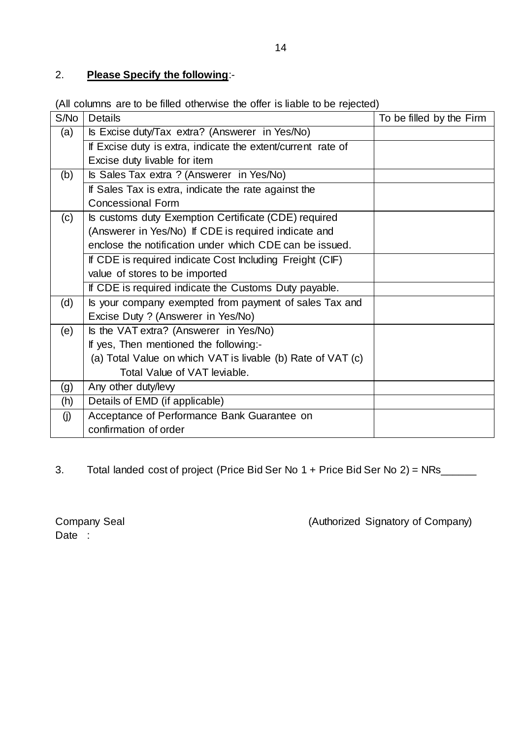# 2. **Please Specify the following**:-

(All columns are to be filled otherwise the offer is liable to be rejected)

| S/No | Details                                                      | To be filled by the Firm |
|------|--------------------------------------------------------------|--------------------------|
| (a)  | Is Excise duty/Tax extra? (Answerer in Yes/No)               |                          |
|      | If Excise duty is extra, indicate the extent/current rate of |                          |
|      | Excise duty livable for item                                 |                          |
| (b)  | Is Sales Tax extra ? (Answerer in Yes/No)                    |                          |
|      | If Sales Tax is extra, indicate the rate against the         |                          |
|      | <b>Concessional Form</b>                                     |                          |
| (c)  | Is customs duty Exemption Certificate (CDE) required         |                          |
|      | (Answerer in Yes/No) If CDE is required indicate and         |                          |
|      | enclose the notification under which CDE can be issued.      |                          |
|      | If CDE is required indicate Cost Including Freight (CIF)     |                          |
|      | value of stores to be imported                               |                          |
|      | If CDE is required indicate the Customs Duty payable.        |                          |
| (d)  | Is your company exempted from payment of sales Tax and       |                          |
|      | Excise Duty ? (Answerer in Yes/No)                           |                          |
| (e)  | Is the VAT extra? (Answerer in Yes/No)                       |                          |
|      | If yes, Then mentioned the following:-                       |                          |
|      | (a) Total Value on which VAT is livable (b) Rate of VAT (c)  |                          |
|      | Total Value of VAT leviable.                                 |                          |
| (g)  | Any other duty/levy                                          |                          |
| (h)  | Details of EMD (if applicable)                               |                          |
| (j)  | Acceptance of Performance Bank Guarantee on                  |                          |
|      | confirmation of order                                        |                          |

3. Total landed cost of project (Price Bid Ser No 1 + Price Bid Ser No 2) = NRs\_\_\_\_\_\_

Date :

Company Seal (Authorized Signatory of Company)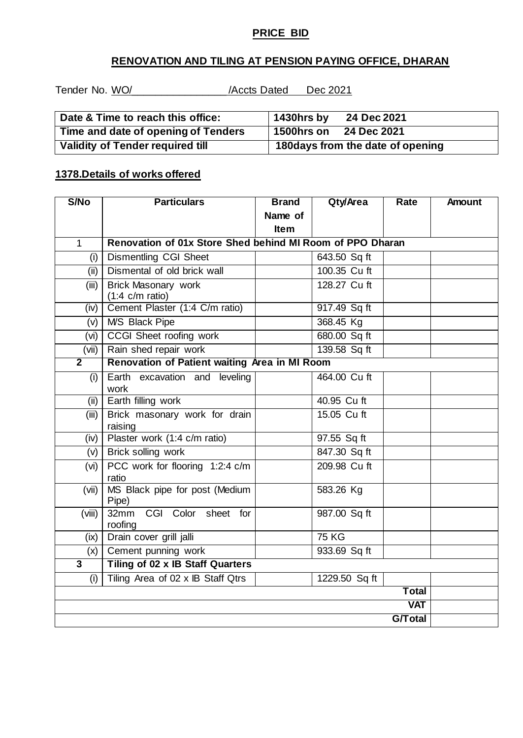## **PRICE BID**

## **RENOVATION AND TILING AT PENSION PAYING OFFICE, DHARAN**

Tender No. WO/\_\_\_\_\_\_\_\_\_\_\_\_\_\_\_\_ /Accts Dated Dec 2021

| Date & Time to reach this office:       | 1430hrs by<br>24 Dec 2021         |  |  |
|-----------------------------------------|-----------------------------------|--|--|
| Time and date of opening of Tenders     | 1500hrs on<br>24 Dec 2021         |  |  |
| <b>Validity of Tender required till</b> | 180 days from the date of opening |  |  |

### **1378.Details of works offered**

| S/No           | <b>Particulars</b>                                        | <b>Brand</b> | Qty/Area      | <b>Rate</b> | <b>Amount</b> |
|----------------|-----------------------------------------------------------|--------------|---------------|-------------|---------------|
|                |                                                           | Name of      |               |             |               |
|                |                                                           | Item         |               |             |               |
| $\mathbf{1}$   | Renovation of 01x Store Shed behind MI Room of PPO Dharan |              |               |             |               |
| (i)            | <b>Dismentling CGI Sheet</b>                              |              | 643.50 Sq ft  |             |               |
| (ii)           | Dismental of old brick wall                               |              | 100.35 Cu ft  |             |               |
| (iii)          | <b>Brick Masonary work</b>                                |              | 128.27 Cu ft  |             |               |
|                | $(1:4 \text{ c/m ratio})$                                 |              |               |             |               |
| (iv)           | Cement Plaster (1:4 C/m ratio)                            |              | 917.49 Sq ft  |             |               |
| (v)            | <b>MS Black Pipe</b>                                      |              | 368.45 Kg     |             |               |
| (vi)           | <b>CCGI</b> Sheet roofing work                            |              | 680.00 Sq ft  |             |               |
| (vii)          | Rain shed repair work                                     |              | 139.58 Sq ft  |             |               |
| $\overline{2}$ | Renovation of Patient waiting Area in MI Room             |              |               |             |               |
| (i)            | Earth excavation and leveling                             |              | 464.00 Cu ft  |             |               |
|                | work                                                      |              |               |             |               |
| (ii)           | Earth filling work                                        |              | 40.95 Cu ft   |             |               |
| (iii)          | Brick masonary work for drain<br>raising                  |              | 15.05 Cu ft   |             |               |
| (iv)           | Plaster work (1:4 c/m ratio)                              |              | 97.55 Sq ft   |             |               |
| (v)            | Brick solling work                                        |              | 847.30 Sq ft  |             |               |
| (vi)           | PCC work for flooring 1:2:4 c/m<br>ratio                  |              | 209.98 Cu ft  |             |               |
| (vii)          | MS Black pipe for post (Medium<br>Pipe)                   |              | 583.26 Kg     |             |               |
| (viii)         | CGI Color sheet for<br>32mm<br>roofing                    |              | 987.00 Sq ft  |             |               |
| (ix)           | Drain cover grill jalli                                   |              | <b>75 KG</b>  |             |               |
| (x)            | Cement punning work                                       |              | 933.69 Sq ft  |             |               |
| $\overline{3}$ | Tiling of 02 x IB Staff Quarters                          |              |               |             |               |
| (i)            | Tiling Area of 02 x IB Staff Qtrs                         |              | 1229.50 Sq ft |             |               |
|                |                                                           |              |               | Total       |               |
| <b>VAT</b>     |                                                           |              |               |             |               |
| <b>G/Total</b> |                                                           |              |               |             |               |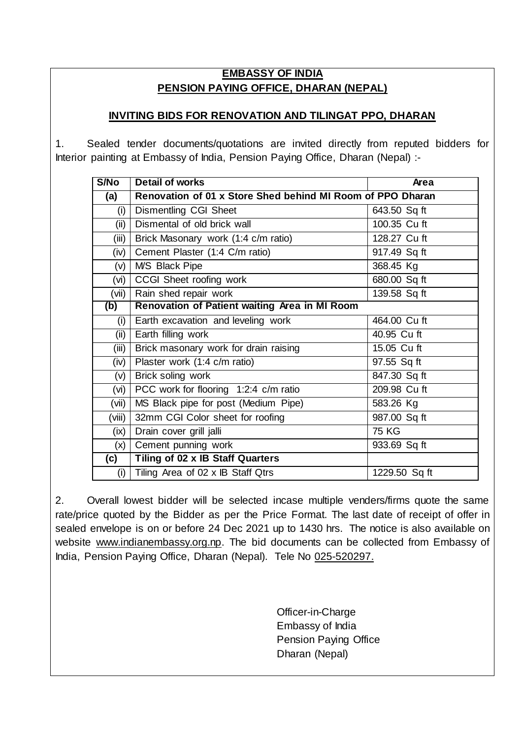# **EMBASSY OF INDIA PENSION PAYING OFFICE, DHARAN (NEPAL)**

## **INVITING BIDS FOR RENOVATION AND TILINGAT PPO, DHARAN**

1. Sealed tender documents/quotations are invited directly from reputed bidders for Interior painting at Embassy of India, Pension Paying Office, Dharan (Nepal) :-

| S/No   | <b>Detail of works</b>                                     | <b>Area</b>   |  |  |
|--------|------------------------------------------------------------|---------------|--|--|
| (a)    | Renovation of 01 x Store Shed behind MI Room of PPO Dharan |               |  |  |
| (i)    | <b>Dismentling CGI Sheet</b>                               | 643.50 Sq ft  |  |  |
| (iii)  | Dismental of old brick wall                                | 100.35 Cu ft  |  |  |
| (iii)  | Brick Masonary work (1:4 c/m ratio)                        | 128.27 Cu ft  |  |  |
| (iv)   | Cement Plaster (1:4 C/m ratio)                             | 917.49 Sq ft  |  |  |
| (V)    | <b>MS Black Pipe</b>                                       | 368.45 Kg     |  |  |
| (vi)   | CCGI Sheet roofing work                                    | 680.00 Sq ft  |  |  |
| (vii)  | Rain shed repair work                                      | 139.58 Sq ft  |  |  |
| (b)    | Renovation of Patient waiting Area in MI Room              |               |  |  |
| (i)    | Earth excavation and leveling work                         | 464.00 Cu ft  |  |  |
| (ii)   | Earth filling work                                         | 40.95 Cu ft   |  |  |
| (iii)  | Brick masonary work for drain raising                      | 15.05 Cu ft   |  |  |
| (iv)   | Plaster work (1:4 c/m ratio)                               | 97.55 Sq ft   |  |  |
| (v)    | Brick soling work                                          | 847.30 Sq ft  |  |  |
| (vi) l | PCC work for flooring 1:2:4 c/m ratio                      | 209.98 Cu ft  |  |  |
| (vii)  | MS Black pipe for post (Medium Pipe)                       | 583.26 Kg     |  |  |
| (viii) | 32mm CGI Color sheet for roofing                           | 987.00 Sq ft  |  |  |
| $(ix)$ | Drain cover grill jalli                                    | <b>75 KG</b>  |  |  |
| (x)    | Cement punning work                                        | 933.69 Sq ft  |  |  |
| (c)    | Tiling of 02 x IB Staff Quarters                           |               |  |  |
| (i)    | Tiling Area of 02 x IB Staff Qtrs                          | 1229.50 Sq ft |  |  |

2. Overall lowest bidder will be selected incase multiple venders/firms quote the same rate/price quoted by the Bidder as per the Price Format. The last date of receipt of offer in sealed envelope is on or before 24 Dec 2021 up to 1430 hrs. The notice is also available on website [www.indianembassy.org.np.](http://www.indianembassy.org.np/) The bid documents can be collected from Embassy of India, Pension Paying Office, Dharan (Nepal). Tele No 025-520297.

> Officer-in-Charge Embassy of India Pension Paying Office Dharan (Nepal)